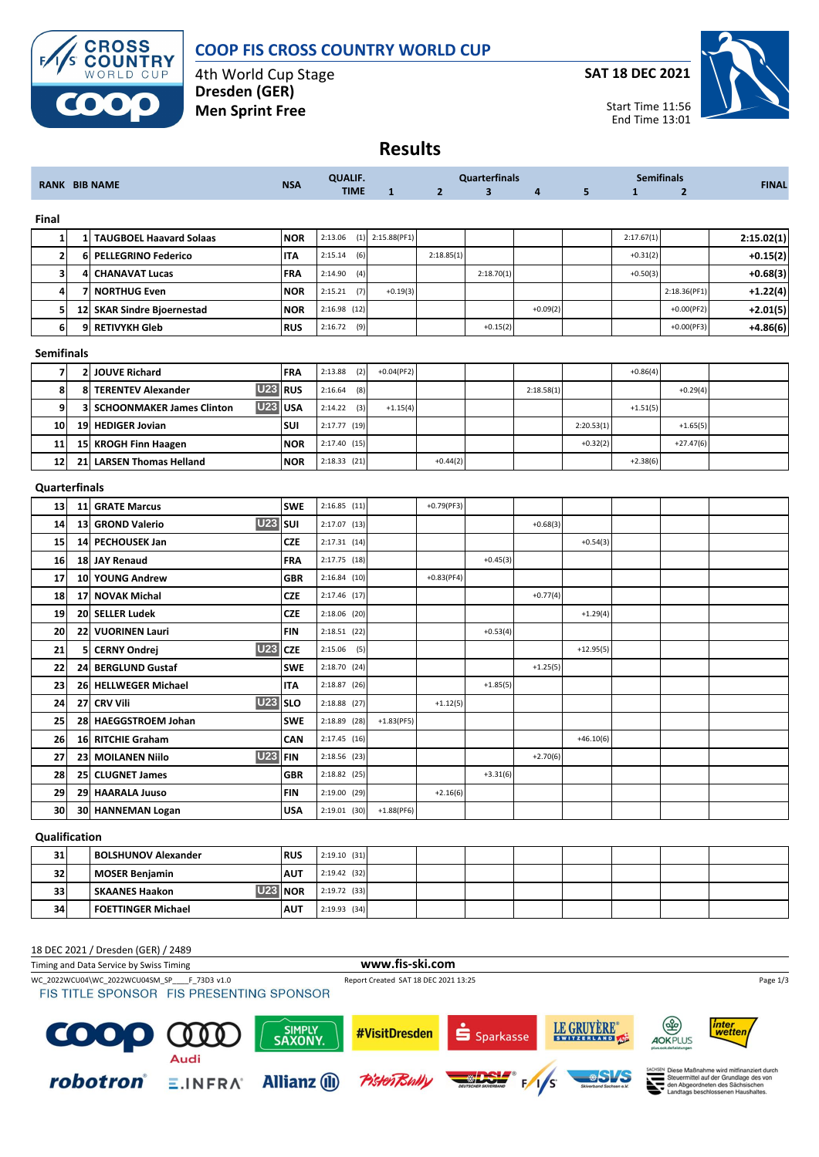

## **COOP FIS CROSS COUNTRY WORLD CUP**

4th World Cup Stage **Dresden (GER) Men Sprint Free**

**SAT 18 DEC 2021**



**Results**

| <b>RANK BIB NAME</b>    |                                       | <b>NSA</b> | <b>QUALIF.</b><br><b>TIME</b> | $\mathbf{1}$   | 2 <sup>2</sup> | <b>Quarterfinals</b><br>$\overline{\mathbf{3}}$ | 4          | 5 <sub>5</sub> | <b>Semifinals</b><br>$\mathbf{1}$<br>$\overline{2}$ |            | <b>FINAL</b> |            |
|-------------------------|---------------------------------------|------------|-------------------------------|----------------|----------------|-------------------------------------------------|------------|----------------|-----------------------------------------------------|------------|--------------|------------|
| Final                   |                                       |            |                               |                |                |                                                 |            |                |                                                     |            |              |            |
| 1                       | <b>TAUGBOEL Haavard Solaas</b><br>1   |            | <b>NOR</b>                    | (1)<br>2:13.06 | 2:15.88(PF1)   |                                                 |            |                |                                                     | 2:17.67(1) |              | 2:15.02(1) |
| 2                       | <b>PELLEGRINO Federico</b><br>6       |            | <b>ITA</b>                    | 2:15.14<br>(6) |                | 2:18.85(1)                                      |            |                |                                                     | $+0.31(2)$ |              | $+0.15(2)$ |
| $\overline{\mathbf{3}}$ | 4<br><b>CHANAVAT Lucas</b>            |            | FRA                           | 2:14.90<br>(4) |                |                                                 | 2:18.70(1) |                |                                                     | $+0.50(3)$ |              | $+0.68(3)$ |
| 4                       | <b>NORTHUG Even</b><br>7              |            | <b>NOR</b>                    | 2:15.21<br>(7) | $+0.19(3)$     |                                                 |            |                |                                                     |            | 2:18.36(PF1) | $+1.22(4)$ |
| 5                       | 12 SKAR Sindre Bjoernestad            |            | <b>NOR</b>                    | $2:16.98$ (12) |                |                                                 |            | $+0.09(2)$     |                                                     |            | $+0.00(PF2)$ | $+2.01(5)$ |
| 6                       | 9<br><b>RETIVYKH Gleb</b>             |            | <b>RUS</b>                    | 2:16.72<br>(9) |                |                                                 | $+0.15(2)$ |                |                                                     |            | $+0.00(PF3)$ | $+4.86(6)$ |
| <b>Semifinals</b>       |                                       |            |                               |                |                |                                                 |            |                |                                                     |            |              |            |
| $\overline{7}$          | <b>JOUVE Richard</b><br>2             |            | FRA                           | 2:13.88<br>(2) | $+0.04(PF2)$   |                                                 |            |                |                                                     | $+0.86(4)$ |              |            |
| 8                       | <b>TERENTEV Alexander</b><br>8        | <b>U23</b> | <b>RUS</b>                    | 2:16.64<br>(8) |                |                                                 |            | 2:18.58(1)     |                                                     |            | $+0.29(4)$   |            |
| 9                       | 3<br><b>SCHOONMAKER James Clinton</b> | <b>U23</b> | <b>USA</b>                    | 2:14.22<br>(3) | $+1.15(4)$     |                                                 |            |                |                                                     | $+1.51(5)$ |              |            |
| 10                      | 19 HEDIGER Jovian                     |            | SUI                           | 2:17.77 (19)   |                |                                                 |            |                | 2:20.53(1)                                          |            | $+1.65(5)$   |            |
| 11                      | 15 KROGH Finn Haagen                  |            | <b>NOR</b>                    | 2:17.40 (15)   |                |                                                 |            |                | $+0.32(2)$                                          |            | $+27.47(6)$  |            |
| 12                      | <b>LARSEN Thomas Helland</b><br>21    |            | <b>NOR</b>                    | $2:18.33$ (21) |                | $+0.44(2)$                                      |            |                |                                                     | $+2.38(6)$ |              |            |
| Quarterfinals           |                                       |            |                               |                |                |                                                 |            |                |                                                     |            |              |            |
| 13                      | <b>GRATE Marcus</b><br>11             |            | <b>SWE</b>                    | $2:16.85$ (11) |                | $+0.79(PF3)$                                    |            |                |                                                     |            |              |            |
| 14                      | 13<br><b>GROND Valerio</b>            | <b>U23</b> | SUI                           | $2:17.07$ (13) |                |                                                 |            | $+0.68(3)$     |                                                     |            |              |            |
| 15                      | 14 PECHOUSEK Jan                      |            | <b>CZE</b>                    | 2:17.31(14)    |                |                                                 |            |                | $+0.54(3)$                                          |            |              |            |
| 16                      | 18<br><b>JAY Renaud</b>               |            | FRA                           | 2:17.75 (18)   |                |                                                 | $+0.45(3)$ |                |                                                     |            |              |            |
| 17                      | <b>YOUNG Andrew</b><br>10             |            | <b>GBR</b>                    | 2:16.84(10)    |                | $+0.83(PF4)$                                    |            |                |                                                     |            |              |            |
| 18                      | <b>NOVAK Michal</b><br>17             |            | <b>CZE</b>                    | 2:17.46 (17)   |                |                                                 |            | $+0.77(4)$     |                                                     |            |              |            |
| 19                      | <b>SELLER Ludek</b><br>20             |            | <b>CZE</b>                    | 2:18.06 (20)   |                |                                                 |            |                | $+1.29(4)$                                          |            |              |            |
| 20                      | 22<br><b>VUORINEN Lauri</b>           |            | <b>FIN</b>                    | $2:18.51$ (22) |                |                                                 | $+0.53(4)$ |                |                                                     |            |              |            |
| 21                      | 5<br><b>CERNY Ondrej</b>              | <b>U23</b> | <b>CZE</b>                    | 2:15.06<br>(5) |                |                                                 |            |                | $+12.95(5)$                                         |            |              |            |
| 22                      | <b>BERGLUND Gustaf</b><br>24          |            | <b>SWE</b>                    | 2:18.70 (24)   |                |                                                 |            | $+1.25(5)$     |                                                     |            |              |            |
| 23                      | 26<br><b>HELLWEGER Michael</b>        |            | <b>ITA</b>                    | $2:18.87$ (26) |                |                                                 | $+1.85(5)$ |                |                                                     |            |              |            |
| 24                      | <b>CRV Vili</b><br>27                 | <b>U23</b> | <b>SLO</b>                    | 2:18.88 (27)   |                | $+1.12(5)$                                      |            |                |                                                     |            |              |            |
| 25                      | <b>HAEGGSTROEM Johan</b><br>28        |            | <b>SWE</b>                    | 2:18.89 (28)   | $+1.83(PF5)$   |                                                 |            |                |                                                     |            |              |            |
| 26                      | 16 RITCHIE Graham                     |            | CAN                           | 2:17.45 (16)   |                |                                                 |            |                | $+46.10(6)$                                         |            |              |            |
| 27                      | 23<br><b>MOILANEN Niilo</b>           | <b>U23</b> | <b>FIN</b>                    | 2:18.56 (23)   |                |                                                 |            | $+2.70(6)$     |                                                     |            |              |            |
| 28                      | 25 CLUGNET James                      |            | <b>GBR</b>                    | $2:18.82$ (25) |                |                                                 | $+3.31(6)$ |                |                                                     |            |              |            |
| 29                      | 29 HAARALA Juuso                      |            | <b>FIN</b>                    | 2:19.00 (29)   |                | $+2.16(6)$                                      |            |                |                                                     |            |              |            |
| 30                      | 30 HANNEMAN Logan                     |            | <b>USA</b>                    | $2:19.01$ (30) | $+1.88(PF6)$   |                                                 |            |                |                                                     |            |              |            |
| Qualification           |                                       |            |                               |                |                |                                                 |            |                |                                                     |            |              |            |
| 31                      | <b>BOLSHUNOV Alexander</b>            |            | <b>RUS</b>                    | $2:19.10$ (31) |                |                                                 |            |                |                                                     |            |              |            |
| 32                      | <b>MOSER Benjamin</b>                 |            | <b>AUT</b>                    | 2:19.42 (32)   |                |                                                 |            |                |                                                     |            |              |            |
| 33                      | <b>SKAANES Haakon</b>                 | <b>U23</b> | <b>NOR</b>                    | 2:19.72 (33)   |                |                                                 |            |                |                                                     |            |              |            |
| 34                      | <b>FOETTINGER Michael</b>             |            | <b>AUT</b>                    | 2:19.93 (34)   |                |                                                 |            |                |                                                     |            |              |            |

## 18 DEC 2021 / Dresden (GER) / 2489

Timing and Data Service by Swiss Timing **www.fis-ski.com**

WC\_2022WCU04\WC\_2022WCU04SM\_SP\_\_\_F\_73D3 v1.0 Report Created SAT 18 DEC 2021 13:25 Page 1/3<br>
FIS TITLE SPONSOR FIS PRESENTING SPONSOR

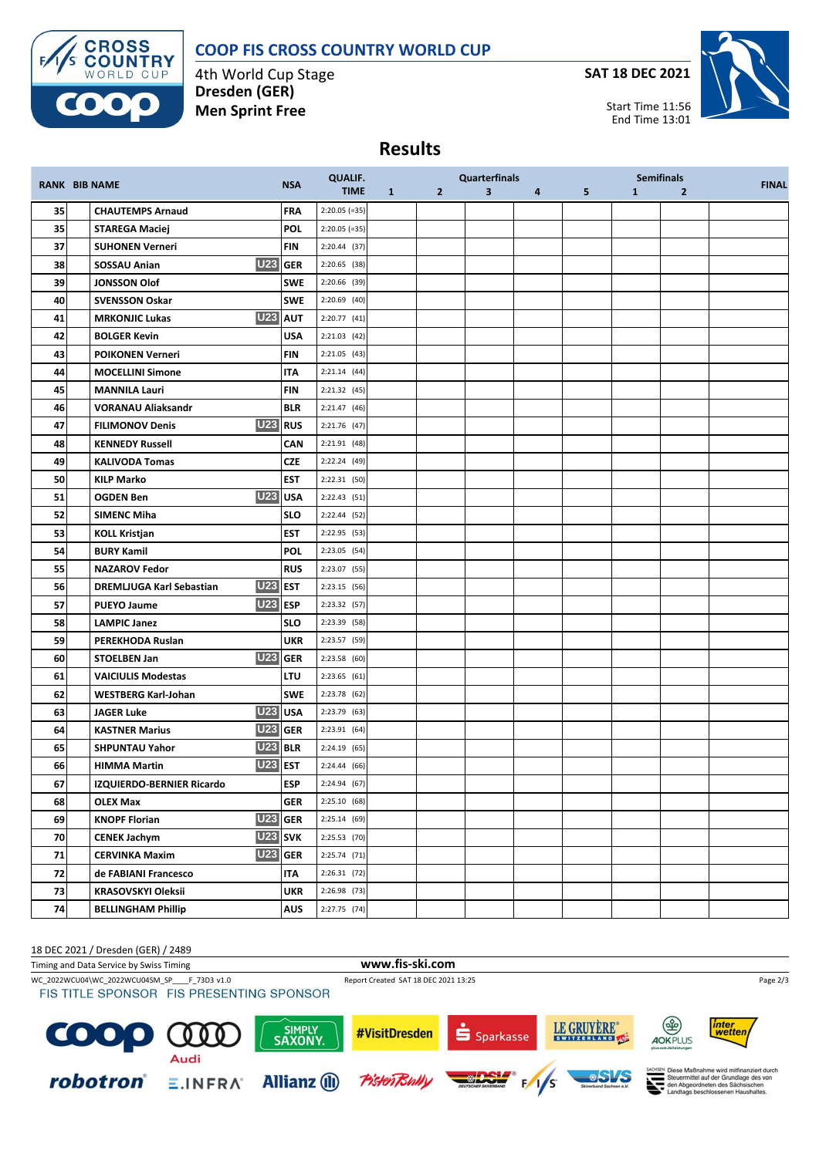## **COOP FIS CROSS COUNTRY WORLD CUP**



4th World Cup Stage **Dresden (GER) Men Sprint Free**

**SAT 18 DEC 2021**



Start Time 11:56 End Time 13:01

## **Results**

|    | <b>RANK BIB NAME</b>                         |            | <b>QUALIF.</b>  |              |              | <b>Quarterfinals</b>    |   |   |              | <b>Semifinals</b> | <b>FINAL</b> |
|----|----------------------------------------------|------------|-----------------|--------------|--------------|-------------------------|---|---|--------------|-------------------|--------------|
|    |                                              | <b>NSA</b> | <b>TIME</b>     | $\mathbf{1}$ | $\mathbf{2}$ | $\overline{\mathbf{3}}$ | 4 | 5 | $\mathbf{1}$ | $\overline{2}$    |              |
| 35 | <b>CHAUTEMPS Arnaud</b>                      | <b>FRA</b> | $2:20.05 (=35)$ |              |              |                         |   |   |              |                   |              |
| 35 | <b>STAREGA Maciej</b>                        | <b>POL</b> | $2:20.05 (=35)$ |              |              |                         |   |   |              |                   |              |
| 37 | <b>SUHONEN Verneri</b>                       | <b>FIN</b> | 2:20.44 (37)    |              |              |                         |   |   |              |                   |              |
| 38 | <b>U23 GER</b><br>SOSSAU Anian               |            | 2:20.65 (38)    |              |              |                         |   |   |              |                   |              |
| 39 | <b>JONSSON Olof</b>                          | <b>SWE</b> | 2:20.66 (39)    |              |              |                         |   |   |              |                   |              |
| 40 | <b>SVENSSON Oskar</b>                        | <b>SWE</b> | 2:20.69 (40)    |              |              |                         |   |   |              |                   |              |
| 41 | U <sub>23</sub> AUT<br><b>MRKONJIC Lukas</b> |            | 2:20.77 (41)    |              |              |                         |   |   |              |                   |              |
| 42 | <b>BOLGER Kevin</b>                          | <b>USA</b> | $2:21.03$ (42)  |              |              |                         |   |   |              |                   |              |
| 43 | <b>POIKONEN Verneri</b>                      | <b>FIN</b> | 2:21.05 (43)    |              |              |                         |   |   |              |                   |              |
| 44 | <b>MOCELLINI Simone</b>                      | IΤΑ        | 2:21.14(44)     |              |              |                         |   |   |              |                   |              |
| 45 | <b>MANNILA Lauri</b>                         | <b>FIN</b> | $2:21.32$ (45)  |              |              |                         |   |   |              |                   |              |
| 46 | <b>VORANAU Aliaksandr</b>                    | <b>BLR</b> | 2:21.47 (46)    |              |              |                         |   |   |              |                   |              |
| 47 | U23 RUS<br><b>FILIMONOV Denis</b>            |            | 2:21.76 (47)    |              |              |                         |   |   |              |                   |              |
| 48 | <b>KENNEDY Russell</b>                       | CAN        | $2:21.91$ (48)  |              |              |                         |   |   |              |                   |              |
| 49 | <b>KALIVODA Tomas</b>                        | <b>CZE</b> | 2:22.24 (49)    |              |              |                         |   |   |              |                   |              |
| 50 | <b>KILP Marko</b>                            | <b>EST</b> | 2:22.31 (50)    |              |              |                         |   |   |              |                   |              |
| 51 | <b>U23</b> USA<br><b>OGDEN Ben</b>           |            | 2:22.43 (51)    |              |              |                         |   |   |              |                   |              |
| 52 | <b>SIMENC Miha</b>                           | <b>SLO</b> | $2:22.44$ (52)  |              |              |                         |   |   |              |                   |              |
| 53 | <b>KOLL Kristjan</b>                         | <b>EST</b> | 2:22.95 (53)    |              |              |                         |   |   |              |                   |              |
| 54 | <b>BURY Kamil</b>                            | <b>POL</b> | 2:23.05 (54)    |              |              |                         |   |   |              |                   |              |
| 55 | <b>NAZAROV Fedor</b>                         | <b>RUS</b> | 2:23.07 (55)    |              |              |                         |   |   |              |                   |              |
| 56 | <b>U23 EST</b><br>DREMLJUGA Karl Sebastian   |            | 2:23.15 (56)    |              |              |                         |   |   |              |                   |              |
| 57 | <b>U23 ESP</b><br><b>PUEYO Jaume</b>         |            | 2:23.32 (57)    |              |              |                         |   |   |              |                   |              |
| 58 | <b>LAMPIC Janez</b>                          | <b>SLO</b> | 2:23.39 (58)    |              |              |                         |   |   |              |                   |              |
| 59 | PEREKHODA Ruslan                             | <b>UKR</b> | 2:23.57 (59)    |              |              |                         |   |   |              |                   |              |
| 60 | <b>U23</b> GER<br><b>STOELBEN Jan</b>        |            | 2:23.58 (60)    |              |              |                         |   |   |              |                   |              |
| 61 | <b>VAICIULIS Modestas</b>                    | <b>LTU</b> | 2:23.65(61)     |              |              |                         |   |   |              |                   |              |
| 62 | <b>WESTBERG Karl-Johan</b>                   | <b>SWE</b> | 2:23.78 (62)    |              |              |                         |   |   |              |                   |              |
| 63 | U23 USA<br><b>JAGER Luke</b>                 |            | 2:23.79 (63)    |              |              |                         |   |   |              |                   |              |
| 64 | <b>U23 GER</b><br><b>KASTNER Marius</b>      |            | 2:23.91 (64)    |              |              |                         |   |   |              |                   |              |
| 65 | <b>U23 BLR</b><br><b>SHPUNTAU Yahor</b>      |            | 2:24.19(65)     |              |              |                         |   |   |              |                   |              |
| 66 | <b>U23 EST</b><br><b>HIMMA Martin</b>        |            | 2:24.44 (66)    |              |              |                         |   |   |              |                   |              |
| 67 | <b>IZQUIERDO-BERNIER Ricardo</b>             | <b>ESP</b> | 2:24.94(67)     |              |              |                         |   |   |              |                   |              |
| 68 | <b>OLEX Max</b>                              | <b>GER</b> | 2:25.10(68)     |              |              |                         |   |   |              |                   |              |
| 69 | <b>U23 GER</b><br><b>KNOPF Florian</b>       |            | 2:25.14(69)     |              |              |                         |   |   |              |                   |              |
| 70 | <b>U23</b> SVK<br><b>CENEK Jachym</b>        |            | 2:25.53 (70)    |              |              |                         |   |   |              |                   |              |
| 71 | <b>U23</b> GER<br><b>CERVINKA Maxim</b>      |            | $2:25.74$ (71)  |              |              |                         |   |   |              |                   |              |
| 72 | de FABIANI Francesco                         | ITA        | $2:26.31$ (72)  |              |              |                         |   |   |              |                   |              |
| 73 | <b>KRASOVSKYI Oleksii</b>                    | <b>UKR</b> | 2:26.98 (73)    |              |              |                         |   |   |              |                   |              |
| 74 | <b>BELLINGHAM Phillip</b>                    | <b>AUS</b> | 2:27.75 (74)    |              |              |                         |   |   |              |                   |              |